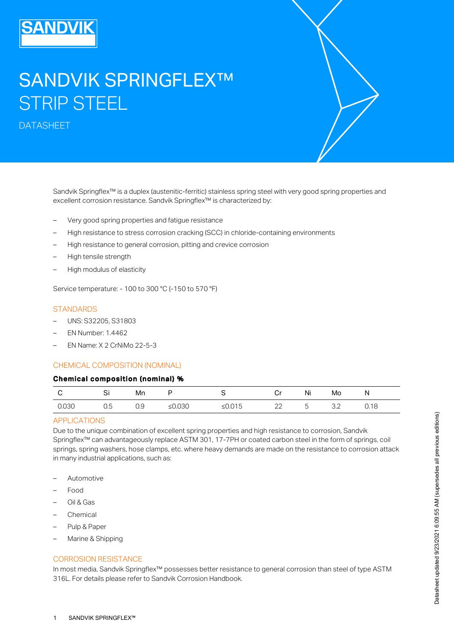# SANDVIK SPRINGFLEX™ STRIP STEEL

DATASHEET

Sandvik Springflex™ is a duplex (austenitic-ferritic) stainless spring steel with very good spring properties and excellent corrosion resistance. Sandvik Springflex™ is characterized by:

- Very good spring properties and fatigue resistance
- High resistance to stress corrosion cracking (SCC) in chloride-containing environments
- High resistance to general corrosion, pitting and crevice corrosion
- High tensile strength
- High modulus of elasticity

Service temperature: - 100 to 300 °C (-150 to 570 °F)

#### **STANDARDS**

- UNS: S32205, S31803
- EN Number: 1.4462
- EN Name: X 2 CrNiMo 22-5-3

# CHEMICAL COMPOSITION (NOMINAL)

#### Chemical composition (nominal) %

|       | ັັ       | Mn        | ப          |        |          | Ni | Mo                   | . .  |
|-------|----------|-----------|------------|--------|----------|----|----------------------|------|
| 0.030 | -<br>U.5 | าฉ<br>∪.∪ | .030<br>-- | ≤0.015 | າາ<br>__ | -  | $\cap$ $\sim$<br>ے.ب | 0.18 |

## APPLICATIONS

Due to the unique combination of excellent spring properties and high resistance to corrosion, Sandvik Springflex™ can advantageously replace ASTM 301, 17-7PH or coated carbon steel in the form of springs, coil springs, spring washers, hose clamps, etc. where heavy demands are made on the resistance to corrosion attack in many industrial applications, such as:

- Automotive
- Food
- Oil & Gas
- Chemical
- Pulp & Paper
- Marine & Shipping

#### CORROSION RESISTANCE

In most media, Sandvik Springflex™ possesses better resistance to general corrosion than steel of type ASTM 316L. For details please refer to Sandvik Corrosion Handbook.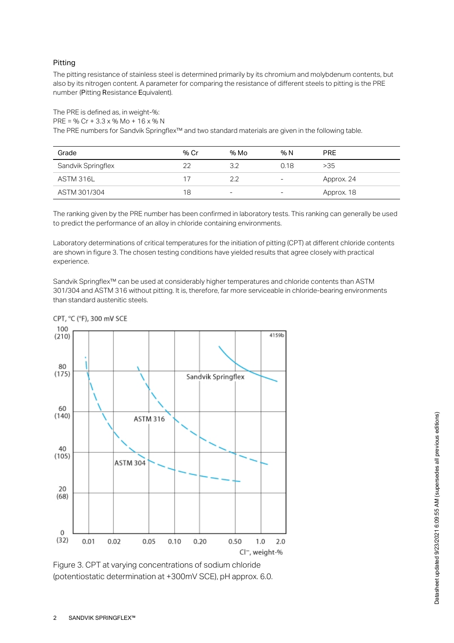# Pitting

The pitting resistance of stainless steel is determined primarily by its chromium and molybdenum contents, but also by its nitrogen content. A parameter for comparing the resistance of different steels to pitting is the PRE number (Pitting Resistance Equivalent).

The PRE is defined as, in weight-%:

PRE = % Cr + 3.3 x % Mo + 16 x % N

The PRE numbers for Sandvik Springflex™ and two standard materials are given in the following table.

| Grade              | % Cr | % Mo                     | % N                      | <b>PRE</b> |
|--------------------|------|--------------------------|--------------------------|------------|
| Sandvik Springflex | つつ   | 3.2                      | 0.18                     | >35        |
| ASTM 316L          |      | 22                       | $\overline{\phantom{0}}$ | Approx. 24 |
| ASTM 301/304       | 18   | $\overline{\phantom{a}}$ | $\overline{\phantom{0}}$ | Approx. 18 |

The ranking given by the PRE number has been confirmed in laboratory tests. This ranking can generally be used to predict the performance of an alloy in chloride containing environments.

Laboratory determinations of critical temperatures for the initiation of pitting (CPT) at different chloride contents are shown in figure 3. The chosen testing conditions have yielded results that agree closely with practical experience.

Sandvik Springflex™ can be used at considerably higher temperatures and chloride contents than ASTM 301/304 and ASTM 316 without pitting. It is, therefore, far more serviceable in chloride-bearing environments than standard austenitic steels.



Figure 3. CPT at varying concentrations of sodium chloride (potentiostatic determination at +300mV SCE), pH approx. 6.0.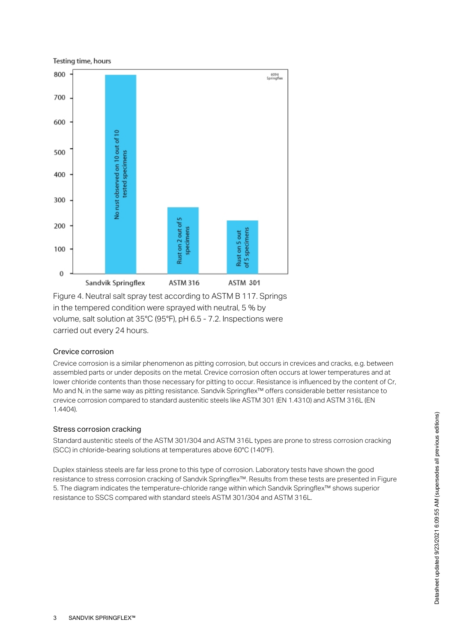

Figure 4. Neutral salt spray test according to ASTM B 117. Springs in the tempered condition were sprayed with neutral, 5 % by volume, salt solution at 35°C (95°F), pH 6.5 - 7.2. Inspections were carried out every 24 hours.

# Crevice corrosion

Crevice corrosion is a similar phenomenon as pitting corrosion, but occurs in crevices and cracks, e.g. between assembled parts or under deposits on the metal. Crevice corrosion often occurs at lower temperatures and at lower chloride contents than those necessary for pitting to occur. Resistance is influenced by the content of Cr, Mo and N, in the same way as pitting resistance. Sandvik Springflex™ offers considerable better resistance to crevice corrosion compared to standard austenitic steels like ASTM 301 (EN 1.4310) and ASTM 316L (EN 1.4404).

# Stress corrosion cracking

Standard austenitic steels of the ASTM 301/304 and ASTM 316L types are prone to stress corrosion cracking (SCC) in chloride-bearing solutions at temperatures above 60°C (140°F).

Duplex stainless steels are far less prone to this type of corrosion. Laboratory tests have shown the good resistance to stress corrosion cracking of Sandvik Springflex™. Results from these tests are presented in Figure 5. The diagram indicates the temperature-chloride range within which Sandvik Springflex™ shows superior resistance to SSCS compared with standard steels ASTM 301/304 and ASTM 316L.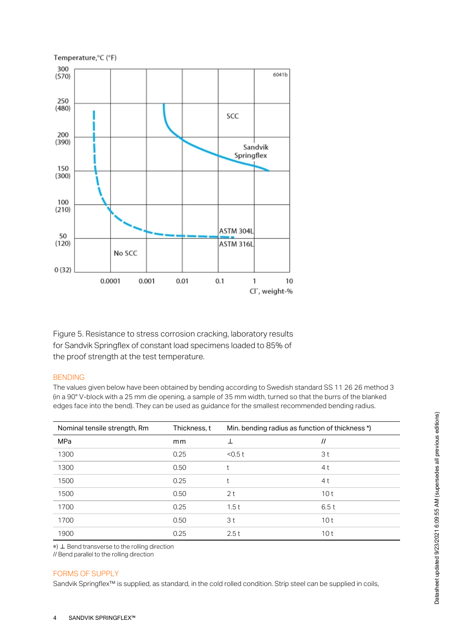

Figure 5. Resistance to stress corrosion cracking, laboratory results for Sandvik Springflex of constant load specimens loaded to 85% of the proof strength at the test temperature.

# BENDING

The values given below have been obtained by bending according to Swedish standard SS 11 26 26 method 3 (in a 90° V-block with a 25 mm die opening, a sample of 35 mm width, turned so that the burrs of the blanked edges face into the bend). They can be used as guidance for the smallest recommended bending radius.

| Nominal tensile strength, Rm | Thickness, t | Min. bending radius as function of thickness *) |                   |
|------------------------------|--------------|-------------------------------------------------|-------------------|
| MPa                          | mm           |                                                 | $^{\prime\prime}$ |
| 1300                         | 0.25         | $<$ 0.5 t                                       | 3 t               |
| 1300                         | 0.50         |                                                 | 4 t               |
| 1500                         | 0.25         |                                                 | 4 t               |
| 1500                         | 0.50         | 2 <sub>t</sub>                                  | 10t               |
| 1700                         | 0.25         | 1.5t                                            | 6.5t              |
| 1700                         | 0.50         | 3t                                              | 10t               |
| 1900                         | 0.25         | 2.5t                                            | 10 <sub>t</sub>   |

∗) ⊥ Bend transverse to the rolling direction

// Bend parallel to the rolling direction

## FORMS OF SUPPLY

Sandvik Springflex™ is supplied, as standard, in the cold rolled condition. Strip steel can be supplied in coils,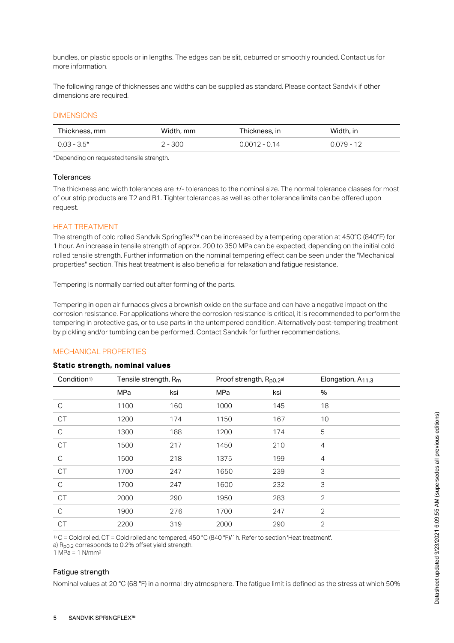bundles, on plastic spools or in lengths. The edges can be slit, deburred or smoothly rounded. Contact us for more information.

The following range of thicknesses and widths can be supplied as standard. Please contact Sandvik if other dimensions are required.

## DIMENSIONS

| Thickness, mm | Width, mm | Thickness, in   | Width, in  |
|---------------|-----------|-----------------|------------|
| $0.03 - 3.5*$ | $2 - 300$ | $0.0012 - 0.14$ | 0.079 - 12 |

\*Depending on requested tensile strength.

#### **Tolerances**

The thickness and width tolerances are +/- tolerances to the nominal size. The normal tolerance classes for most of our strip products are T2 and B1. Tighter tolerances as well as other tolerance limits can be offered upon request.

#### HEAT TREATMENT

The strength of cold rolled Sandvik Springflex™ can be increased by a tempering operation at 450°C (840°F) for 1 hour. An increase in tensile strength of approx. 200 to 350 MPa can be expected, depending on the initial cold rolled tensile strength. Further information on the nominal tempering effect can be seen under the "Mechanical properties" section. This heat treatment is also beneficial for relaxation and fatigue resistance.

Tempering is normally carried out after forming of the parts.

Tempering in open air furnaces gives a brownish oxide on the surface and can have a negative impact on the corrosion resistance. For applications where the corrosion resistance is critical, it is recommended to perform the tempering in protective gas, or to use parts in the untempered condition. Alternatively post-tempering treatment by pickling and/or tumbling can be performed. Contact Sandvik for further recommendations.

#### MECHANICAL PROPERTIES

## Static strength, nominal values

| Condition <sup>1)</sup> | Tensile strength, R <sub>m</sub> |     | Proof strength, Rpo.2a) |     | Elongation, A <sub>11.3</sub> |
|-------------------------|----------------------------------|-----|-------------------------|-----|-------------------------------|
|                         | MPa                              | ksi | MPa                     | ksi | $\%$                          |
| C                       | 1100                             | 160 | 1000                    | 145 | 18                            |
| <b>CT</b>               | 1200                             | 174 | 1150                    | 167 | 10                            |
| С                       | 1300                             | 188 | 1200                    | 174 | 5                             |
| <b>CT</b>               | 1500                             | 217 | 1450                    | 210 | $\overline{4}$                |
| C                       | 1500                             | 218 | 1375                    | 199 | $\overline{4}$                |
| <b>CT</b>               | 1700                             | 247 | 1650                    | 239 | 3                             |
| C                       | 1700                             | 247 | 1600                    | 232 | 3                             |
| <b>CT</b>               | 2000                             | 290 | 1950                    | 283 | 2                             |
| $\mathbb C$             | 1900                             | 276 | 1700                    | 247 | $\overline{2}$                |
| <b>CT</b>               | 2200                             | 319 | 2000                    | 290 | 2                             |

 $11 \text{ C}$  = Cold rolled, CT = Cold rolled and tempered, 450 °C (840 °F)/1h. Refer to section 'Heat treatment'.

a) R<sub>p0.2</sub> corresponds to 0.2% offset yield strength.

1 MPa = 1 N/mm 2

## Fatigue strength

Nominal values at 20 °C (68 °F) in a normal dry atmosphere. The fatigue limit is defined as the stress at which 50%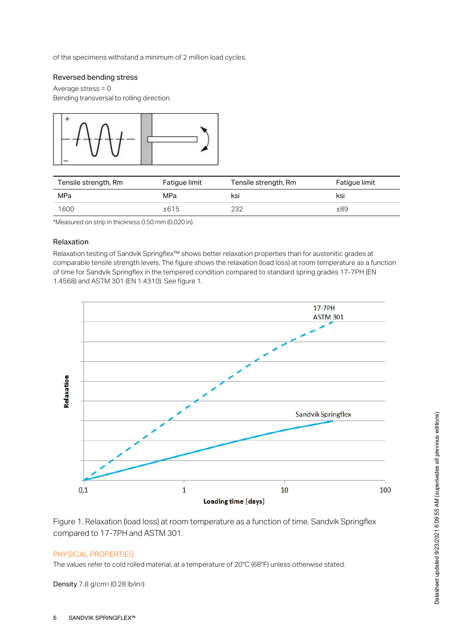of the specimens withstand a minimum of 2 million load cycles.

## Reversed bending stress

Average stress = 0 Bending transversal to rolling direction.



| Tensile strength, Rm | Fatigue limit | Tensile strength, Rm | Fatigue limit |
|----------------------|---------------|----------------------|---------------|
| MPa                  | MPa           | ksi                  | ksi           |
| 1600                 | ±615          | 232                  | ±89           |

\*Measured on strip in thickness 0.50 mm (0.020 in).

## Relaxation

Relaxation testing of Sandvik Springflex™ shows better relaxation properties than for austenitic grades at comparable tensile strength levels. The figure shows the relaxation (load loss) at room temperature as a function of time for Sandvik Springflex in the tempered condition compared to standard spring grades 17-7PH (EN 1.4568) and ASTM 301 (EN 1.4310). See figure 1.



Figure 1. Relaxation (load loss) at room temperature as a function of time. Sandvik Springflex compared to 17-7PH and ASTM 301.

# PHYSICAL PROPERTIES

The values refer to cold rolled material, at a temperature of 20°C (68°F) unless otherwise stated.

Density  $7.8$  g/cm $3$  (0.28 lb/in $3$ )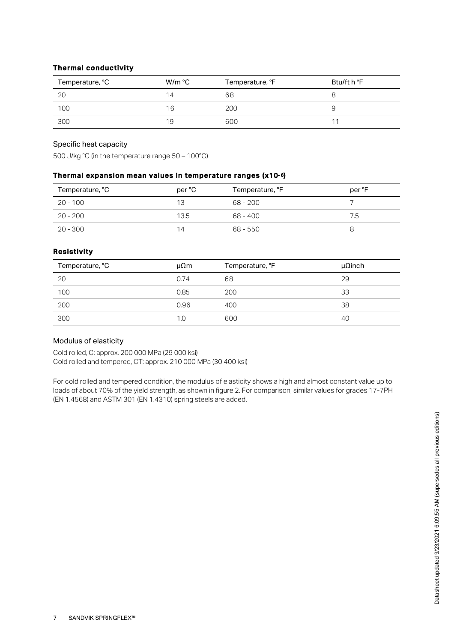## Thermal conductivity

| Temperature, °C | W/m °C | Temperature, °F | Btu/ft h °F |
|-----------------|--------|-----------------|-------------|
| 2C              | 14     | 68              |             |
| 100             | 16     | 200             |             |
| 300             | 19     | 600             |             |

## Specific heat capacity

500 J/kg °C (in the temperature range 50 – 100°C)

## Thermal expansion mean values in temperature ranges (x10-6)

| Temperature, °C | per °C | Temperature, °F | per °F |
|-----------------|--------|-----------------|--------|
| $20 - 100$      | 13     | 68 - 200        |        |
| 20 - 200        | 13.5   | 68 - 400        | 7.5    |
| 20 - 300        | 14     | 68 - 550        | ర      |

# Resistivity

| Temperature, °C | μΩm     | Temperature, °F | $\mu$ $\Omega$ inch |
|-----------------|---------|-----------------|---------------------|
| 20              | 0.74    | 68              | 29                  |
| 100             | 0.85    | 200             | 33                  |
| 200             | 0.96    | 400             | 38                  |
| 300             | $1.0 -$ | 600             | 40                  |

## Modulus of elasticity

Cold rolled, C: approx. 200 000 MPa (29 000 ksi) Cold rolled and tempered, CT: approx. 210 000 MPa (30 400 ksi)

For cold rolled and tempered condition, the modulus of elasticity shows a high and almost constant value up to loads of about 70% of the yield strength, as shown in figure 2. For comparison, similar values for grades 17-7PH (EN 1.4568) and ASTM 301 (EN 1.4310) spring steels are added.